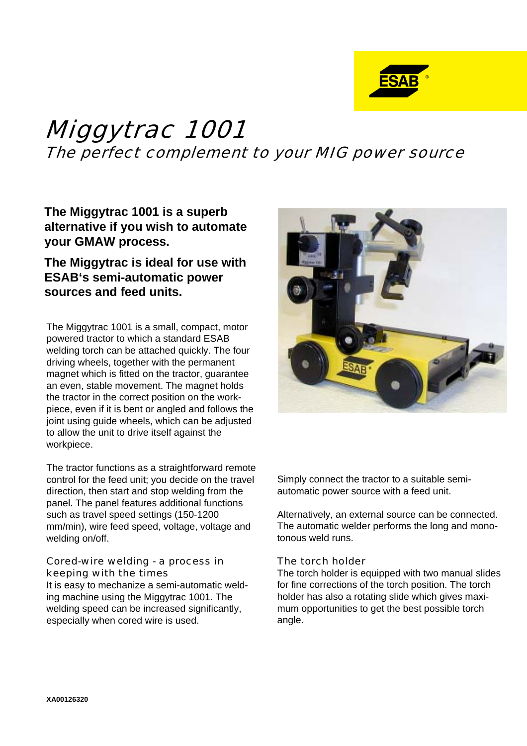

# Miggytrac 1001 The perfect complement to your MIG power source

**The Miggytrac 1001 is a superb alternative if you wish to automate your GMAW process.**

## **The Miggytrac is ideal for use with ESAB's semi-automatic power sources and feed units.**

The Miggytrac 1001 is a small, compact, motor powered tractor to which a standard ESAB welding torch can be attached quickly. The four driving wheels, together with the permanent magnet which is fitted on the tractor, guarantee an even, stable movement. The magnet holds the tractor in the correct position on the workpiece, even if it is bent or angled and follows the joint using guide wheels, which can be adjusted to allow the unit to drive itself against the workpiece.

The tractor functions as a straightforward remote control for the feed unit; you decide on the travel direction, then start and stop welding from the panel. The panel features additional functions such as travel speed settings (150-1200 mm/min), wire feed speed, voltage, voltage and welding on/off.

### Cored-wire welding - a process in keeping with the times

It is easy to mechanize a semi-automatic welding machine using the Miggytrac 1001. The welding speed can be increased significantly, especially when cored wire is used.



Simply connect the tractor to a suitable semiautomatic power source with a feed unit.

Alternatively, an external source can be connected. The automatic welder performs the long and monotonous weld runs.

### The torch holder

The torch holder is equipped with two manual slides for fine corrections of the torch position. The torch holder has also a rotating slide which gives maximum opportunities to get the best possible torch angle.